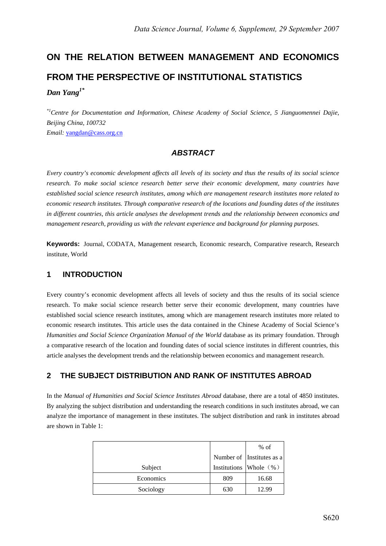# **ON THE RELATION BETWEEN MANAGEMENT AND ECONOMICS FROM THE PERSPECTIVE OF INSTITUTIONAL STATISTICS**  *Dan Yang1\**

*\*1Centre for Documentation and Information, Chinese Academy of Social Science, 5 Jianguomennei Dajie, Beijing China, 100732 Email:* yangdan@cass.org.cn

# *ABSTRACT*

*Every country's economic development affects all levels of its society and thus the results of its social science research. To make social science research better serve their economic development, many countries have established social science research institutes, among which are management research institutes more related to economic research institutes. Through comparative research of the locations and founding dates of the institutes in different countries, this article analyses the development trends and the relationship between economics and management research, providing us with the relevant experience and background for planning purposes.* 

**Keywords:** Journal, CODATA, Management research, Economic research, Comparative research, Research institute, World

# **1 INTRODUCTION**

Every country's economic development affects all levels of society and thus the results of its social science research. To make social science research better serve their economic development, many countries have established social science research institutes, among which are management research institutes more related to economic research institutes. This article uses the data contained in the Chinese Academy of Social Science's *Humanities and Social Science Organization Manual of the World* database as its primary foundation. Through a comparative research of the location and founding dates of social science institutes in different countries, this article analyses the development trends and the relationship between economics and management research.

## **2 THE SUBJECT DISTRIBUTION AND RANK OF INSTITUTES ABROAD**

In the *Manual of Humanities and Social Science Institutes Abroad* database, there are a total of 4850 institutes. By analyzing the subject distribution and understanding the research conditions in such institutes abroad, we can analyze the importance of management in these institutes. The subject distribution and rank in institutes abroad are shown in Table 1:

|           |     | $%$ of                     |
|-----------|-----|----------------------------|
|           |     | Number of Institutes as a  |
| Subject   |     | Institutions Whole $(\% )$ |
| Economics | 809 | 16.68                      |
| Sociology | 630 | 12.99                      |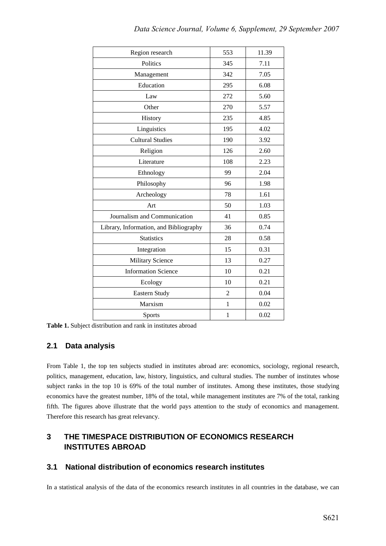|  | Data Science Journal, Volume 6, Supplement, 29 September 2007 |  |
|--|---------------------------------------------------------------|--|
|--|---------------------------------------------------------------|--|

| 553            | 11.39 |
|----------------|-------|
|                |       |
| 345            | 7.11  |
| 342            | 7.05  |
| 295            | 6.08  |
| 272            | 5.60  |
| 270            | 5.57  |
| 235            | 4.85  |
| 195            | 4.02  |
| 190            | 3.92  |
| 126            | 2.60  |
| 108            | 2.23  |
| 99             | 2.04  |
| 96             | 1.98  |
| 78             | 1.61  |
| 50             | 1.03  |
| 41             | 0.85  |
| 36             | 0.74  |
| 28             | 0.58  |
| 15             | 0.31  |
| 13             | 0.27  |
| 10             | 0.21  |
| 10             | 0.21  |
| $\overline{2}$ | 0.04  |
| $\mathbf{1}$   | 0.02  |
| 1              | 0.02  |
|                |       |

**Table 1.** Subject distribution and rank in institutes abroad

## **2.1 Data analysis**

From Table 1, the top ten subjects studied in institutes abroad are: economics, sociology, regional research, politics, management, education, law, history, linguistics, and cultural studies. The number of institutes whose subject ranks in the top 10 is 69% of the total number of institutes. Among these institutes, those studying economics have the greatest number, 18% of the total, while management institutes are 7% of the total, ranking fifth. The figures above illustrate that the world pays attention to the study of economics and management. Therefore this research has great relevancy.

# **3 THE TIMESPACE DISTRIBUTION OF ECONOMICS RESEARCH INSTITUTES ABROAD**

## **3.1 National distribution of economics research institutes**

In a statistical analysis of the data of the economics research institutes in all countries in the database, we can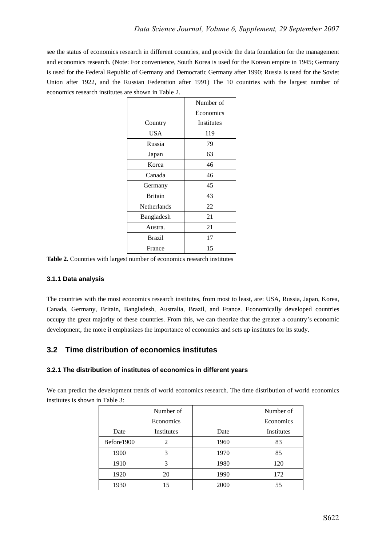see the status of economics research in different countries, and provide the data foundation for the management and economics research. (Note: For convenience, South Korea is used for the Korean empire in 1945; Germany is used for the Federal Republic of Germany and Democratic Germany after 1990; Russia is used for the Soviet Union after 1922, and the Russian Federation after 1991) The 10 countries with the largest number of economics research institutes are shown in Table 2.

|                | Number of         |
|----------------|-------------------|
|                | Economics         |
| Country        | <b>Institutes</b> |
| USA            | 119               |
| Russia         | 79                |
| Japan          | 63                |
| Korea          | 46                |
| Canada         | 46                |
| Germany        | 45                |
| <b>Britain</b> | 43                |
| Netherlands    | 22                |
| Bangladesh     | 21                |
| Austra.        | 21                |
| <b>Brazil</b>  | 17                |
| France         | 15                |

Table 2. Countries with largest number of economics research institutes

#### **3.1.1 Data analysis**

The countries with the most economics research institutes, from most to least, are: USA, Russia, Japan, Korea, Canada, Germany, Britain, Bangladesh, Australia, Brazil, and France. Economically developed countries occupy the great majority of these countries. From this, we can theorize that the greater a country's economic development, the more it emphasizes the importance of economics and sets up institutes for its study.

## **3.2 Time distribution of economics institutes**

#### **3.2.1 The distribution of institutes of economics in different years**

We can predict the development trends of world economics research. The time distribution of world economics institutes is shown in Table 3:

|            | Number of  |      | Number of  |
|------------|------------|------|------------|
|            | Economics  |      | Economics  |
| Date       | Institutes | Date | Institutes |
| Before1900 | 2          | 1960 | 83         |
| 1900       | 3          | 1970 | 85         |
| 1910       | 3          | 1980 | 120        |
| 1920       | 20         | 1990 | 172        |
| 1930       |            | 2000 | 55         |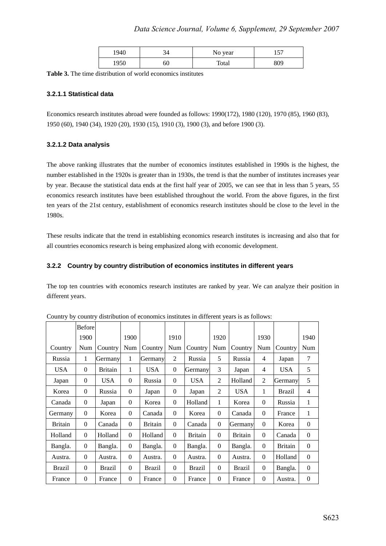| 1940 |    | No year | 57<br>1 J J |
|------|----|---------|-------------|
| 1950 | 60 | Total   | 809         |

**Table 3.** The time distribution of world economics institutes

#### **3.2.1.1 Statistical data**

Economics research institutes abroad were founded as follows: 1990(172), 1980 (120), 1970 (85), 1960 (83), 1950 (60), 1940 (34), 1920 (20), 1930 (15), 1910 (3), 1900 (3), and before 1900 (3).

#### **3.2.1.2 Data analysis**

The above ranking illustrates that the number of economics institutes established in 1990s is the highest, the number established in the 1920s is greater than in 1930s, the trend is that the number of institutes increases year by year. Because the statistical data ends at the first half year of 2005, we can see that in less than 5 years, 55 economics research institutes have been established throughout the world. From the above figures, in the first ten years of the 21st century, establishment of economics research institutes should be close to the level in the 1980s.

These results indicate that the trend in establishing economics research institutes is increasing and also that for all countries economics research is being emphasized along with economic development.

#### **3.2.2 Country by country distribution of economics institutes in different years**

The top ten countries with economics research institutes are ranked by year. We can analyze their position in different years.

|                | <b>Before</b> |                |          |                |                |                |          |                |                |                |                |
|----------------|---------------|----------------|----------|----------------|----------------|----------------|----------|----------------|----------------|----------------|----------------|
|                | 1900          |                | 1900     |                | 1910           |                | 1920     |                | 1930           |                | 1940           |
| Country        | Num           | Country        | Num      | Country        | Num            | Country        | Num      | Country        | Num            | Country        | Num            |
| Russia         | 1             | Germany        | 1        | Germany        | $\overline{2}$ | Russia         | 5        | Russia         | 4              | Japan          | $\tau$         |
| <b>USA</b>     | $\Omega$      | <b>Britain</b> | 1        | <b>USA</b>     | $\mathbf{0}$   | Germany        | 3        | Japan          | 4              | <b>USA</b>     | 5              |
| Japan          | $\mathbf{0}$  | <b>USA</b>     | $\theta$ | Russia         | $\Omega$       | <b>USA</b>     | 2        | Holland        | $\overline{2}$ | Germany        | 5              |
| Korea          | $\Omega$      | Russia         | $\theta$ | Japan          | $\Omega$       | Japan          | 2        | <b>USA</b>     | 1              | <b>Brazil</b>  | $\overline{4}$ |
| Canada         | $\mathbf{0}$  | Japan          | $\theta$ | Korea          | $\Omega$       | Holland        | 1        | Korea          | $\theta$       | Russia         | 1              |
| Germany        | $\Omega$      | Korea          | $\theta$ | Canada         | $\Omega$       | Korea          | $\Omega$ | Canada         | $\theta$       | France         | 1              |
| <b>Britain</b> | $\Omega$      | Canada         | $\theta$ | <b>Britain</b> | $\Omega$       | Canada         | $\Omega$ | Germany        | $\theta$       | Korea          | $\theta$       |
| Holland        | $\Omega$      | Holland        | $\theta$ | Holland        | $\Omega$       | <b>Britain</b> | $\Omega$ | <b>Britain</b> | $\theta$       | Canada         | $\Omega$       |
| Bangla.        | $\Omega$      | Bangla.        | $\theta$ | Bangla.        | $\Omega$       | Bangla.        | $\theta$ | Bangla.        | $\theta$       | <b>Britain</b> | $\Omega$       |
| Austra.        | $\Omega$      | Austra.        | $\theta$ | Austra.        | $\Omega$       | Austra.        | $\Omega$ | Austra.        | $\theta$       | Holland        | $\Omega$       |
| <b>Brazil</b>  | $\Omega$      | Brazil         | $\theta$ | <b>Brazil</b>  | $\Omega$       | <b>Brazil</b>  | $\Omega$ | <b>Brazil</b>  | $\theta$       | Bangla.        | $\theta$       |
| France         | $\theta$      | France         | $\theta$ | France         | $\Omega$       | France         | $\Omega$ | France         | $\theta$       | Austra.        | $\Omega$       |

Country by country distribution of economics institutes in different years is as follows: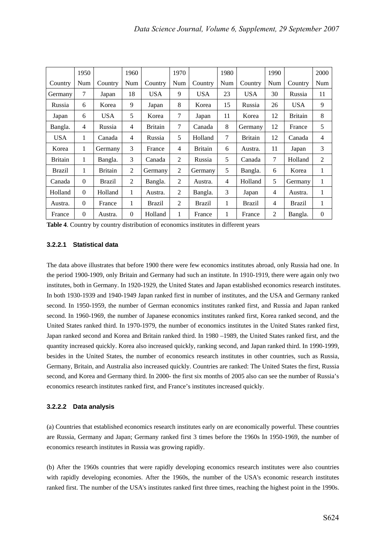|                | 1950     |                | 1960     |                | 1970           |                | 1980 |                | 1990 |                | 2000     |
|----------------|----------|----------------|----------|----------------|----------------|----------------|------|----------------|------|----------------|----------|
| Country        | Num      | Country        | Num      | Country        | Num            | Country        | Num  | Country        | Num  | Country        | Num      |
| Germany        | 7        | Japan          | 18       | USA.           | 9              | <b>USA</b>     | 23   | <b>USA</b>     | 30   | Russia         | 11       |
| Russia         | 6        | Korea          | 9        | Japan          | 8              | Korea          | 15   | Russia         | 26   | <b>USA</b>     | 9        |
| Japan          | 6        | <b>USA</b>     | 5        | Korea          | 7              | Japan          | 11   | Korea          | 12   | <b>Britain</b> | 8        |
| Bangla.        | 4        | Russia         | 4        | <b>Britain</b> | 7              | Canada         | 8    | Germany        | 12   | France         | 5        |
| <b>USA</b>     | 1        | Canada         | 4        | Russia         | 5              | Holland        | 7    | <b>Britain</b> | 12   | Canada         | 4        |
| Korea          | 1        | Germany        | 3        | France         | $\overline{4}$ | <b>Britain</b> | 6    | Austra.        | 11   | Japan          | 3        |
| <b>Britain</b> | 1        | Bangla.        | 3        | Canada         | $\overline{2}$ | Russia         | 5    | Canada         | 7    | Holland        | 2        |
| Brazil         | 1        | <b>Britain</b> | 2        | Germany        | 2              | Germany        | 5    | Bangla.        | 6    | Korea          | 1        |
| Canada         | $\Omega$ | <b>Brazil</b>  | 2        | Bangla.        | 2              | Austra.        | 4    | Holland        | 5    | Germany        | 1        |
| Holland        | $\Omega$ | Holland        | 1        | Austra.        | $\overline{2}$ | Bangla.        | 3    | Japan          | 4    | Austra.        | 1        |
| Austra.        | $\Omega$ | France         | 1        | Brazil         | 2              | Brazil         | 1    | <b>Brazil</b>  | 4    | <b>Brazil</b>  | 1        |
| France         | $\theta$ | Austra.        | $\Omega$ | Holland        | 1              | France         | 1    | France         | 2    | Bangla.        | $\theta$ |

**Table 4**. Country by country distribution of economics institutes in different years

#### **3.2.2.1 Statistical data**

The data above illustrates that before 1900 there were few economics institutes abroad, only Russia had one. In the period 1900-1909, only Britain and Germany had such an institute. In 1910-1919, there were again only two institutes, both in Germany. In 1920-1929, the United States and Japan established economics research institutes. In both 1930-1939 and 1940-1949 Japan ranked first in number of institutes, and the USA and Germany ranked second. In 1950-1959, the number of German economics institutes ranked first, and Russia and Japan ranked second. In 1960-1969, the number of Japanese economics institutes ranked first, Korea ranked second, and the United States ranked third. In 1970-1979, the number of economics institutes in the United States ranked first, Japan ranked second and Korea and Britain ranked third. In 1980 –1989, the United States ranked first, and the quantity increased quickly. Korea also increased quickly, ranking second, and Japan ranked third. In 1990-1999, besides in the United States, the number of economics research institutes in other countries, such as Russia, Germany, Britain, and Australia also increased quickly. Countries are ranked: The United States the first, Russia second, and Korea and Germany third. In 2000- the first six months of 2005 also can see the number of Russia's economics research institutes ranked first, and France's institutes increased quickly.

#### **3.2.2.2 Data analysis**

(a) Countries that established economics research institutes early on are economically powerful. These countries are Russia, Germany and Japan; Germany ranked first 3 times before the 1960s In 1950-1969, the number of economics research institutes in Russia was growing rapidly.

(b) After the 1960s countries that were rapidly developing economics research institutes were also countries with rapidly developing economies. After the 1960s, the number of the USA's economic research institutes ranked first. The number of the USA's institutes ranked first three times, reaching the highest point in the 1990s.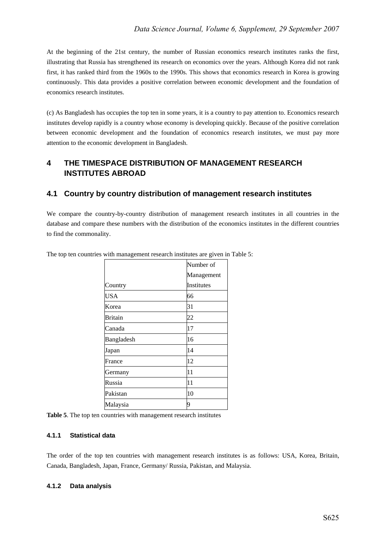At the beginning of the 21st century, the number of Russian economics research institutes ranks the first, illustrating that Russia has strengthened its research on economics over the years. Although Korea did not rank first, it has ranked third from the 1960s to the 1990s. This shows that economics research in Korea is growing continuously. This data provides a positive correlation between economic development and the foundation of economics research institutes.

(c) As Bangladesh has occupies the top ten in some years, it is a country to pay attention to. Economics research institutes develop rapidly is a country whose economy is developing quickly. Because of the positive correlation between economic development and the foundation of economics research institutes, we must pay more attention to the economic development in Bangladesh.

# **4 THE TIMESPACE DISTRIBUTION OF MANAGEMENT RESEARCH INSTITUTES ABROAD**

# **4.1 Country by country distribution of management research institutes**

We compare the country-by-country distribution of management research institutes in all countries in the database and compare these numbers with the distribution of the economics institutes in the different countries to find the commonality.

|            | Number of  |
|------------|------------|
|            | Management |
| Country    | Institutes |
| <b>USA</b> | 66         |
| Korea      | 31         |
| Britain    | 22         |
| Canada     | 17         |
| Bangladesh | 16         |
| Japan      | 14         |
| France     | 12         |
| Germany    | 11         |
| Russia     | 11         |
| Pakistan   | 10         |
| Malaysia   | 9          |

The top ten countries with management research institutes are given in Table 5:

#### **4.1.1 Statistical data**

The order of the top ten countries with management research institutes is as follows: USA, Korea, Britain, Canada, Bangladesh, Japan, France, Germany/ Russia, Pakistan, and Malaysia.

#### **4.1.2 Data analysis**

**Table 5**. The top ten countries with management research institutes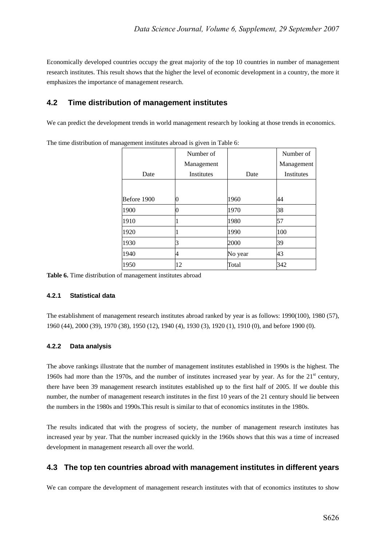Economically developed countries occupy the great majority of the top 10 countries in number of management research institutes. This result shows that the higher the level of economic development in a country, the more it emphasizes the importance of management research.

## **4.2 Time distribution of management institutes**

We can predict the development trends in world management research by looking at those trends in economics.

The time distribution of management institutes abroad is given in Table 6:

|             | Number of         |         | Number of  |
|-------------|-------------------|---------|------------|
|             | Management        |         | Management |
| Date        | <b>Institutes</b> | Date    | Institutes |
|             |                   |         |            |
| Before 1900 | 0                 | 1960    | 44         |
| 1900        | 0                 | 1970    | 38         |
| 1910        |                   | 1980    | 57         |
| 1920        |                   | 1990    | 100        |
| 1930        | 3                 | 2000    | 39         |
| 1940        | 4                 | No year | 43         |
| 1950        | 12                | Total   | 342        |

**Table 6.** Time distribution of management institutes abroad

#### **4.2.1 Statistical data**

The establishment of management research institutes abroad ranked by year is as follows: 1990(100), 1980 (57), 1960 (44), 2000 (39), 1970 (38), 1950 (12), 1940 (4), 1930 (3), 1920 (1), 1910 (0), and before 1900 (0).

#### **4.2.2 Data analysis**

The above rankings illustrate that the number of management institutes established in 1990s is the highest. The 1960s had more than the 1970s, and the number of institutes increased year by year. As for the 21<sup>st</sup> century, there have been 39 management research institutes established up to the first half of 2005. If we double this number, the number of management research institutes in the first 10 years of the 21 century should lie between the numbers in the 1980s and 1990s.This result is similar to that of economics institutes in the 1980s.

The results indicated that with the progress of society, the number of management research institutes has increased year by year. That the number increased quickly in the 1960s shows that this was a time of increased development in management research all over the world.

## **4.3 The top ten countries abroad with management institutes in different years**

We can compare the development of management research institutes with that of economics institutes to show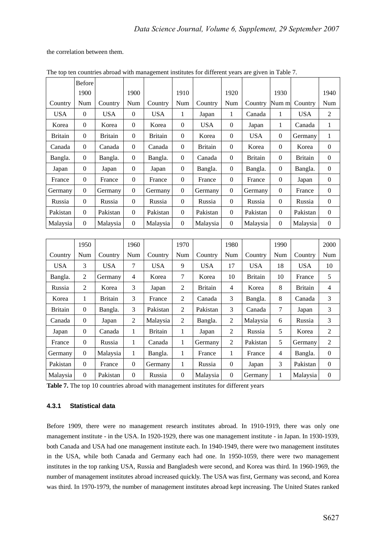the correlation between them.

|                | <b>Before</b>  |                |              |                |          |                |              |                |                  |                |                  |
|----------------|----------------|----------------|--------------|----------------|----------|----------------|--------------|----------------|------------------|----------------|------------------|
|                | 1900           |                | 1900         |                | 1910     |                | 1920         |                | 1930             |                | 1940             |
| Country        | Num            | Country        | Num          | Country        | Num      | Country        | Num          | Country        | Num m            | Country        | Num              |
| <b>USA</b>     | $\Omega$       | <b>USA</b>     | $\Omega$     | <b>USA</b>     | 1        | Japan          | 1            | Canada         | 1                | <b>USA</b>     | 2                |
| Korea          | $\theta$       | Korea          | $\mathbf{0}$ | Korea          | $\Omega$ | <b>USA</b>     | $\theta$     | Japan          | 1                | Canada         | 1                |
| <b>Britain</b> | $\theta$       | <b>Britain</b> | $\Omega$     | <b>Britain</b> | $\Omega$ | Korea          | $\theta$     | <b>USA</b>     | $\Omega$         | Germany        | 1                |
| Canada         | $\theta$       | Canada         | $\Omega$     | Canada         | $\Omega$ | <b>Britain</b> | $\theta$     | Korea          | $\Omega$         | Korea          | $\Omega$         |
| Bangla.        | $\overline{0}$ | Bangla.        | $\mathbf{0}$ | Bangla.        | $\theta$ | Canada         | $\mathbf{0}$ | <b>Britain</b> | $\boldsymbol{0}$ | <b>Britain</b> | $\overline{0}$   |
| Japan          | $\theta$       | Japan          | $\mathbf{0}$ | Japan          | $\Omega$ | Bangla.        | $\Omega$     | Bangla.        | $\overline{0}$   | Bangla.        | $\Omega$         |
| France         | $\Omega$       | France         | $\mathbf{0}$ | France         | $\Omega$ | France         | $\theta$     | France         | $\boldsymbol{0}$ | Japan          | $\boldsymbol{0}$ |
| Germany        | $\theta$       | Germany        | $\Omega$     | Germany        | $\Omega$ | Germany        | $\Omega$     | Germany        | $\Omega$         | France         | $\Omega$         |
| Russia         | $\theta$       | Russia         | $\Omega$     | Russia         | $\Omega$ | Russia         | $\theta$     | Russia         | $\Omega$         | Russia         | $\mathbf{0}$     |
| Pakistan       | $\theta$       | Pakistan       | $\mathbf{0}$ | Pakistan       | $\Omega$ | Pakistan       | $\theta$     | Pakistan       | $\boldsymbol{0}$ | Pakistan       | $\mathbf{0}$     |
| Malaysia       | $\theta$       | Malaysia       | $\mathbf{0}$ | Malaysia       | $\Omega$ | Malaysia       | $\Omega$     | Malaysia       | $\theta$         | Malaysia       | $\Omega$         |
|                |                |                |              |                |          |                |              |                |                  |                |                  |
|                | 1950.          |                | 1960         |                | 1970     |                | 1980         |                | 1990             |                | 2000             |

The top ten countries abroad with management institutes for different years are given in Table 7.

|                | 1950     |                | 1960         |                | 1970           |                | 1980           |                | 1990 |                | 2000           |
|----------------|----------|----------------|--------------|----------------|----------------|----------------|----------------|----------------|------|----------------|----------------|
| Country        | Num      | Country        | Num          | Country        | Num            | Country        | Num            | Country        | Num  | Country        | Num            |
| <b>USA</b>     | 3        | <b>USA</b>     | 7            | <b>USA</b>     | 9              | <b>USA</b>     | 17             | <b>USA</b>     | 18   | <b>USA</b>     | 10             |
| Bangla.        | 2        | Germany        | 4            | Korea          | 7              | Korea          | 10             | <b>Britain</b> | 10   | France         | 5              |
| Russia         | 2        | Korea          | 3            | Japan          | 2              | <b>Britain</b> | 4              | Korea          | 8    | <b>Britain</b> | 4              |
| Korea          | 1        | <b>Britain</b> | 3            | France         | 2              | Canada         | 3              | Bangla.        | 8    | Canada         | 3              |
| <b>Britain</b> | $\Omega$ | Bangla.        | 3            | Pakistan       | 2              | Pakistan       | 3              | Canada         | 7    | Japan          | 3              |
| Canada         | $\Omega$ | Japan          | 2            | Malaysia       | $\overline{2}$ | Bangla.        | 2              | Malaysia       | 6    | Russia         | 3              |
| Japan          | $\Omega$ | Canada         | 1            | <b>Britain</b> | 1              | Japan          | 2              | Russia         | 5    | Korea          | 2              |
| France         | $\Omega$ | Russia         | 1            | Canada         | 1              | Germany        | $\overline{2}$ | Pakistan       | 5    | Germany        | 2              |
| Germany        | $\Omega$ | Malaysia       | 1            | Bangla.        | 1              | France         | 1              | France         | 4    | Bangla.        | $\overline{0}$ |
| Pakistan       | $\Omega$ | France         | $\mathbf{0}$ | Germany        | 1              | Russia         | $\theta$       | Japan          | 3    | Pakistan       | $\overline{0}$ |
| Malaysia       | $\Omega$ | Pakistan       | $\Omega$     | Russia         | $\Omega$       | Malaysia       | $\Omega$       | Germany        |      | Malaysia       | $\theta$       |

**Table 7.** The top 10 countries abroad with management institutes for different years

#### **4.3.1 Statistical data**

Before 1909, there were no management research institutes abroad. In 1910-1919, there was only one management institute - in the USA. In 1920-1929, there was one management institute - in Japan. In 1930-1939, both Canada and USA had one management institute each. In 1940-1949, there were two management institutes in the USA, while both Canada and Germany each had one. In 1950-1059, there were two management institutes in the top ranking USA, Russia and Bangladesh were second, and Korea was third. In 1960-1969, the number of management institutes abroad increased quickly. The USA was first, Germany was second, and Korea was third. In 1970-1979, the number of management institutes abroad kept increasing. The United States ranked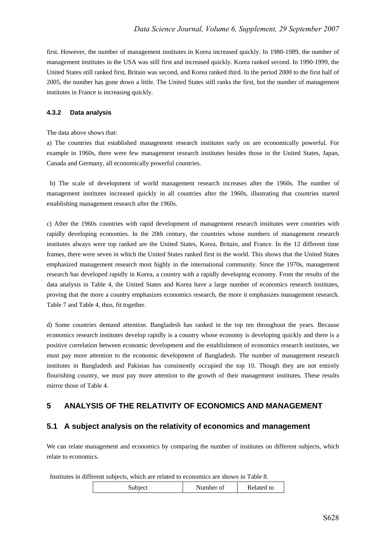first. However, the number of management institutes in Korea increased quickly. In 1980-1989, the number of management institutes in the USA was still first and increased quickly. Korea ranked second. In 1990-1999, the United States still ranked first, Britain was second, and Korea ranked third. In the period 2000 to the first half of 2005, the number has gone down a little. The United States still ranks the first, but the number of management institutes in France is increasing quickly.

#### **4.3.2 Data analysis**

#### The data above shows that:

a) The countries that established management research institutes early on are economically powerful. For example in 1960s, there were few management research institutes besides those in the United States, Japan, Canada and Germany, all economically powerful countries.

 b) The scale of development of world management research increases after the 1960s. The number of management institutes increased quickly in all countries after the 1960s, illustrating that countries started establishing management research after the 1960s.

c) After the 1960s countries with rapid development of management research institutes were countries with rapidly developing economies. In the 20th century, the countries whose numbers of management research institutes always were top ranked are the United States, Korea, Britain, and France. In the 12 different time frames, there were seven in which the United States ranked first in the world. This shows that the United States emphasized management research most highly in the international community. Since the 1970s, management research has developed rapidly in Korea, a country with a rapidly developing economy. From the results of the data analysis in Table 4, the United States and Korea have a large number of economics research institutes, proving that the more a country emphasizes economics research, the more it emphasizes management research. Table 7 and Table 4, thus, fit together.

d) Some countries demand attention. Bangladesh has ranked in the top ten throughout the years. Because economics research institutes develop rapidly is a country whose economy is developing quickly and there is a positive correlation between economic development and the establishment of economics research institutes, we must pay more attention to the economic development of Bangladesh. The number of management research institutes in Bangladesh and Pakistan has consistently occupied the top 10. Though they are not entirely flourishing country, we must pay more attention to the growth of their management institutes. These results mirror those of Table 4.

## **5 ANALYSIS OF THE RELATIVITY OF ECONOMICS AND MANAGEMENT**

## **5.1 A subject analysis on the relativity of economics and management**

We can relate management and economics by comparing the number of institutes on different subjects, which relate to economics.

Institutes in different subjects, which are related to economics are shown in Table 8.

| Subject | Number of | Related to |
|---------|-----------|------------|
|         |           |            |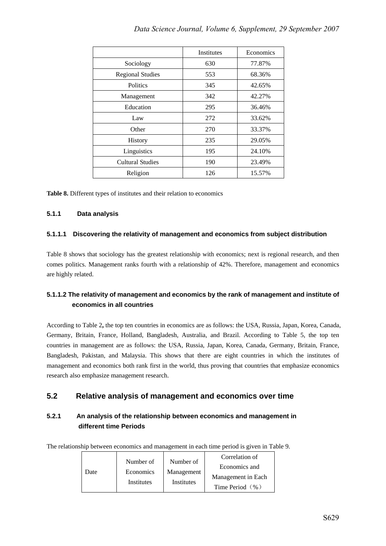|                         | Institutes | Economics |
|-------------------------|------------|-----------|
| Sociology               | 630        | 77.87%    |
| <b>Regional Studies</b> | 553        | 68.36%    |
| <b>Politics</b>         | 345        | 42.65%    |
| Management              | 342        | 42.27%    |
| Education               | 295        | 36.46%    |
| Law                     | 272        | 33.62%    |
| Other                   | 270        | 33.37%    |
| <b>History</b>          | 235        | 29.05%    |
| Linguistics             | 195        | 24.10%    |
| <b>Cultural Studies</b> | 190        | 23.49%    |
| Religion                | 126        | 15.57%    |

**Table 8.** Different types of institutes and their relation to economics

## **5.1.1 Data analysis**

## **5.1.1.1 Discovering the relativity of management and economics from subject distribution**

Table 8 shows that sociology has the greatest relationship with economics; next is regional research, and then comes politics. Management ranks fourth with a relationship of 42%. Therefore, management and economics are highly related.

## **5.1.1.2 The relativity of management and economics by the rank of management and institute of economics in all countries**

According to Table 2**,** the top ten countries in economics are as follows: the USA, Russia, Japan, Korea, Canada, Germany, Britain, France, Holland, Bangladesh, Australia, and Brazil. According to Table 5, the top ten countries in management are as follows: the USA, Russia, Japan, Korea, Canada, Germany, Britain, France, Bangladesh, Pakistan, and Malaysia. This shows that there are eight countries in which the institutes of management and economics both rank first in the world, thus proving that countries that emphasize economics research also emphasize management research.

## **5.2 Relative analysis of management and economics over time**

## **5.2.1 An analysis of the relationship between economics and management in different time Periods**

The relationship between economics and management in each time period is given in Table 9.

| Number of<br>Economics<br><b>Date</b><br>Institutes |  | Number of<br>Management<br>Institutes | Correlation of      |
|-----------------------------------------------------|--|---------------------------------------|---------------------|
|                                                     |  |                                       | Economics and       |
|                                                     |  |                                       | Management in Each  |
|                                                     |  |                                       | Time Period $(\% )$ |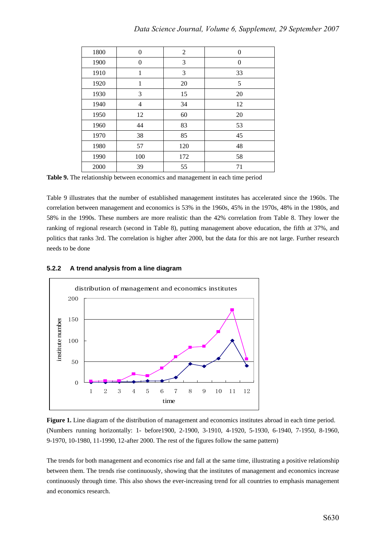| 1800 | $\Omega$       | 2   | $\overline{0}$ |
|------|----------------|-----|----------------|
| 1900 | $\Omega$       | 3   | $\overline{0}$ |
| 1910 | 1              | 3   | 33             |
| 1920 | 1              | 20  | 5              |
| 1930 | 3              | 15  | 20             |
| 1940 | $\overline{4}$ | 34  | 12             |
| 1950 | 12             | 60  | 20             |
| 1960 | 44             | 83  | 53             |
| 1970 | 38             | 85  | 45             |
| 1980 | 57             | 120 | 48             |
| 1990 | 100            | 172 | 58             |
| 2000 | 39             | 55  | 71             |

**Table 9.** The relationship between economics and management in each time period

Table 9 illustrates that the number of established management institutes has accelerated since the 1960s. The correlation between management and economics is 53% in the 1960s, 45% in the 1970s, 48% in the 1980s, and 58% in the 1990s. These numbers are more realistic than the 42% correlation from Table 8. They lower the ranking of regional research (second in Table 8), putting management above education, the fifth at 37%, and politics that ranks 3rd. The correlation is higher after 2000, but the data for this are not large. Further research needs to be done

## **5.2.2 A trend analysis from a line diagram**



**Figure 1.** Line diagram of the distribution of management and economics institutes abroad in each time period. (Numbers running horizontally: 1- before1900, 2-1900, 3-1910, 4-1920, 5-1930, 6-1940, 7-1950, 8-1960, 9-1970, 10-1980, 11-1990, 12-after 2000. The rest of the figures follow the same pattern)

The trends for both management and economics rise and fall at the same time, illustrating a positive relationship between them. The trends rise continuously, showing that the institutes of management and economics increase continuously through time. This also shows the ever-increasing trend for all countries to emphasis management and economics research.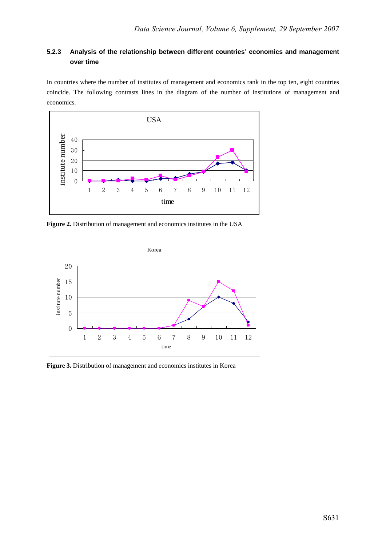## **5.2.3 Analysis of the relationship between different countries' economics and management over time**

In countries where the number of institutes of management and economics rank in the top ten, eight countries coincide. The following contrasts lines in the diagram of the number of institutions of management and economics.



Figure 2. Distribution of management and economics institutes in the USA



Figure 3. Distribution of management and economics institutes in Korea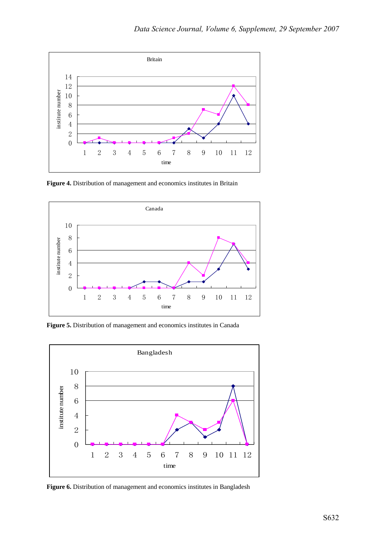

**Figure 4.** Distribution of management and economics institutes in Britain



Figure 5. Distribution of management and economics institutes in Canada



Figure 6. Distribution of management and economics institutes in Bangladesh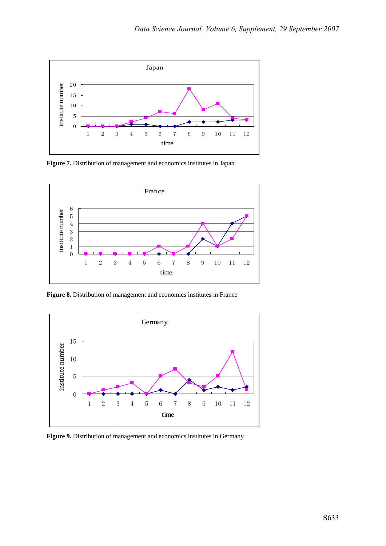

**Figure 7.** Distribution of management and economics institutes in Japan



Figure 8. Distribution of management and economics institutes in France



Figure 9. Distribution of management and economics institutes in Germany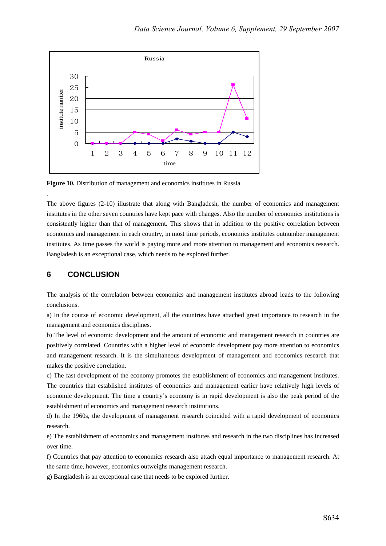

**Figure 10.** Distribution of management and economics institutes in Russia

The above figures (2-10) illustrate that along with Bangladesh, the number of economics and management institutes in the other seven countries have kept pace with changes. Also the number of economics institutions is consistently higher than that of management. This shows that in addition to the positive correlation between economics and management in each country, in most time periods, economics institutes outnumber management institutes. As time passes the world is paying more and more attention to management and economics research. Bangladesh is an exceptional case, which needs to be explored further.

## **6 CONCLUSION**

.

The analysis of the correlation between economics and management institutes abroad leads to the following conclusions.

a) In the course of economic development, all the countries have attached great importance to research in the management and economics disciplines.

b) The level of economic development and the amount of economic and management research in countries are positively correlated. Countries with a higher level of economic development pay more attention to economics and management research. It is the simultaneous development of management and economics research that makes the positive correlation.

c) The fast development of the economy promotes the establishment of economics and management institutes. The countries that established institutes of economics and management earlier have relatively high levels of economic development. The time a country's economy is in rapid development is also the peak period of the establishment of economics and management research institutions.

d) In the 1960s, the development of management research coincided with a rapid development of economics research.

e) The establishment of economics and management institutes and research in the two disciplines has increased over time.

f) Countries that pay attention to economics research also attach equal importance to management research. At the same time, however, economics outweighs management research.

g) Bangladesh is an exceptional case that needs to be explored further.